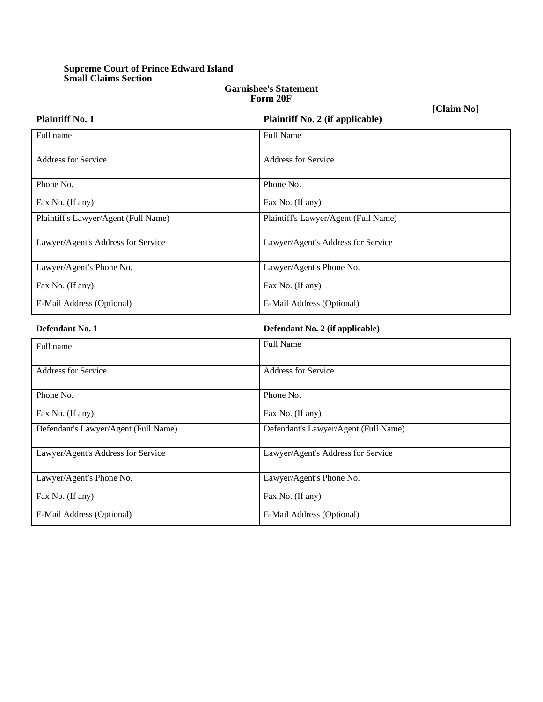## **Supreme Court of Prince Edward Island Small Claims Section**

## **Garnishee**=**s Statement Form 20F**

**[Claim No]**

| <b>Plaintiff No. 1</b>               | Plaintiff No. 2 (if applicable)      |
|--------------------------------------|--------------------------------------|
| Full name                            | <b>Full Name</b>                     |
| Address for Service                  | <b>Address for Service</b>           |
| Phone No.                            | Phone No.                            |
| Fax No. (If any)                     | Fax No. (If any)                     |
| Plaintiff's Lawyer/Agent (Full Name) | Plaintiff's Lawyer/Agent (Full Name) |
| Lawyer/Agent's Address for Service   | Lawyer/Agent's Address for Service   |
| Lawyer/Agent's Phone No.             | Lawyer/Agent's Phone No.             |
| Fax No. (If any)                     | Fax No. (If any)                     |
| E-Mail Address (Optional)            | E-Mail Address (Optional)            |
| Defendant No. 1                      | Defendant No. 2 (if applicable)      |
| Full name                            | <b>Full Name</b>                     |
| Address for Service                  | <b>Address for Service</b>           |
| Phone No.                            | Phone No.                            |
| Fax No. (If any)                     | Fax No. (If any)                     |
| Defendant's Lawyer/Agent (Full Name) | Defendant's Lawyer/Agent (Full Name) |
| Lawyer/Agent's Address for Service   | Lawyer/Agent's Address for Service   |
| Lawyer/Agent's Phone No.             | Lawyer/Agent's Phone No.             |
| Fax No. (If any)                     | Fax No. (If any)                     |
| E-Mail Address (Optional)            | E-Mail Address (Optional)            |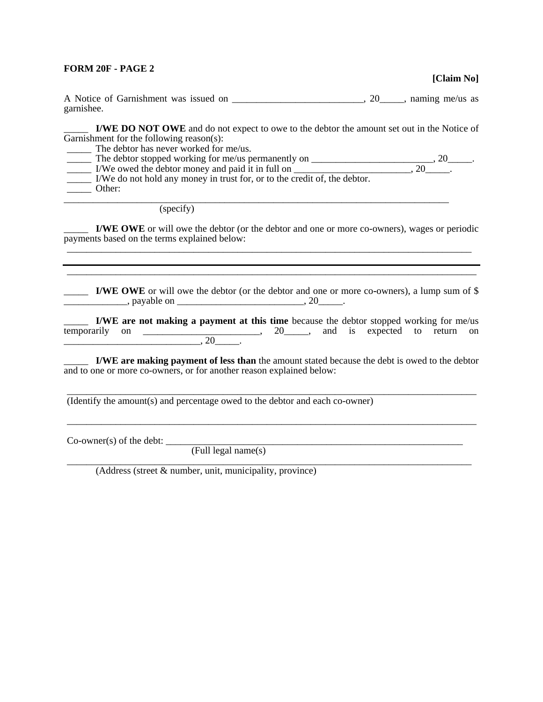## **FORM 20F - PAGE 2**

**[Claim No]** 

A Notice of Garnishment was issued on \_\_\_\_\_\_\_\_\_\_\_\_\_\_\_\_\_\_\_\_\_\_\_\_\_, 20\_\_\_\_\_, naming me/us as garnishee.

\_\_\_\_\_ **I/WE DO NOT OWE** and do not expect to owe to the debtor the amount set out in the Notice of Garnishment for the following reason(s):

\_\_\_\_\_ The debtor has never worked for me/us.

The debtor stopped working for me/us permanently on \_\_\_\_\_\_\_\_\_\_\_\_\_\_\_\_\_\_\_\_\_\_\_\_\_\_\_\_\_  $\frac{1}{20}$  I/We owed the debtor money and paid it in full on  $\frac{1}{20}$ ,  $\frac{20}{20}$ .

\_\_\_\_\_ I/We do not hold any money in trust for, or to the credit of, the debtor.

\_\_\_\_\_ Other:

(specify)

\_\_\_\_\_ **I/WE OWE** or will owe the debtor (or the debtor and one or more co-owners), wages or periodic payments based on the terms explained below: \_\_\_\_\_\_\_\_\_\_\_\_\_\_\_\_\_\_\_\_\_\_\_\_\_\_\_\_\_\_\_\_\_\_\_\_\_\_\_\_\_\_\_\_\_\_\_\_\_\_\_\_\_\_\_\_\_\_\_\_\_\_\_\_\_\_\_\_\_\_\_\_\_\_\_\_\_\_\_\_\_\_\_

\_\_\_\_\_\_\_\_\_\_\_\_\_\_\_\_\_\_\_\_\_\_\_\_\_\_\_\_\_\_\_\_\_\_\_\_\_\_\_\_\_\_\_\_\_\_\_\_\_\_\_\_\_\_\_\_\_\_\_\_\_\_\_\_\_\_\_\_\_\_\_\_\_\_\_\_\_\_\_

\_\_\_\_\_ **I/WE OWE** or will owe the debtor (or the debtor and one or more co**-**owners), a lump sum of \$  $\frac{1}{20}$ , payable on  $\frac{1}{20}$ ,  $\frac{1}{20}$ .

\_\_\_\_\_\_\_\_\_\_\_\_\_\_\_\_\_\_\_\_\_\_\_\_\_\_\_\_\_\_\_\_\_\_\_\_\_\_\_\_\_\_\_\_\_\_\_\_\_\_\_\_\_\_\_\_\_\_\_\_\_\_\_\_\_\_\_\_\_\_\_\_\_\_\_\_\_\_\_\_\_\_\_\_

\_\_\_\_\_ **I/WE are not making a payment at this time** because the debtor stopped working for me/us  $\frac{1}{20}$ , 20  $\frac{1}{20}$  and is expected to return on  $\overbrace{\hspace{25mm}}^{1}$  , 20  $\overbrace{\hspace{25mm}}^{1}$  , 20  $\overbrace{\hspace{25mm}}^{1}$ 

\_\_\_\_\_ **I/WE are making payment of less than** the amount stated because the debt is owed to the debtor and to one or more co-owners, or for another reason explained below:

\_\_\_\_\_\_\_\_\_\_\_\_\_\_\_\_\_\_\_\_\_\_\_\_\_\_\_\_\_\_\_\_\_\_\_\_\_\_\_\_\_\_\_\_\_\_\_\_\_\_\_\_\_\_\_\_\_\_\_\_\_\_\_\_\_\_\_\_\_\_\_\_\_\_\_\_\_\_\_\_\_\_\_\_

\_\_\_\_\_\_\_\_\_\_\_\_\_\_\_\_\_\_\_\_\_\_\_\_\_\_\_\_\_\_\_\_\_\_\_\_\_\_\_\_\_\_\_\_\_\_\_\_\_\_\_\_\_\_\_\_\_\_\_\_\_\_\_\_\_\_\_\_\_\_\_\_\_\_\_\_\_\_\_\_\_\_\_\_

\_\_\_\_\_\_\_\_\_\_\_\_\_\_\_\_\_\_\_\_\_\_\_\_\_\_\_\_\_\_\_\_\_\_\_\_\_\_\_\_\_\_\_\_\_\_\_\_\_\_\_\_\_\_\_\_\_\_\_\_\_\_\_\_\_\_\_\_\_\_\_\_\_\_\_\_\_\_\_\_\_\_\_

(Identify the amount(s) and percentage owed to the debtor and each co-owner)

Co-owner(s) of the debt: \_\_\_\_\_\_\_\_\_\_\_\_\_\_\_\_\_\_\_\_\_\_\_\_\_\_\_\_\_\_\_\_\_\_\_\_\_\_\_\_\_\_\_\_\_\_\_\_\_\_\_\_\_\_\_\_\_\_\_\_\_

(Full legal name(s)

(Address (street & number, unit, municipality, province)